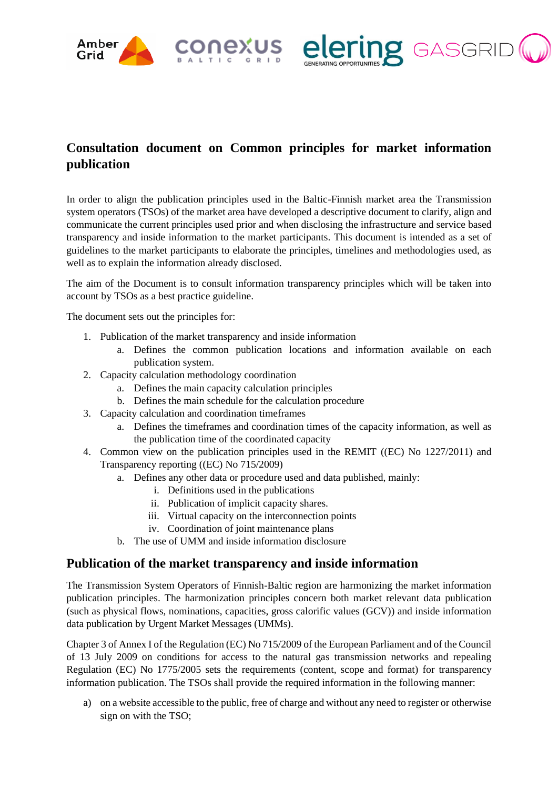



## **Consultation document on Common principles for market information publication**

In order to align the publication principles used in the Baltic-Finnish market area the Transmission system operators (TSOs) of the market area have developed a descriptive document to clarify, align and communicate the current principles used prior and when disclosing the infrastructure and service based transparency and inside information to the market participants. This document is intended as a set of guidelines to the market participants to elaborate the principles, timelines and methodologies used, as well as to explain the information already disclosed.

The aim of the Document is to consult information transparency principles which will be taken into account by TSOs as a best practice guideline.

The document sets out the principles for:

- 1. Publication of the market transparency and inside information
	- a. Defines the common publication locations and information available on each publication system.
- 2. Capacity calculation methodology coordination
	- a. Defines the main capacity calculation principles
	- b. Defines the main schedule for the calculation procedure
- 3. Capacity calculation and coordination timeframes
	- a. Defines the timeframes and coordination times of the capacity information, as well as the publication time of the coordinated capacity
- 4. Common view on the publication principles used in the REMIT ((EC) No 1227/2011) and Transparency reporting ((EC) No 715/2009)
	- a. Defines any other data or procedure used and data published, mainly:
		- i. Definitions used in the publications
		- ii. Publication of implicit capacity shares.
		- iii. Virtual capacity on the interconnection points
		- iv. Coordination of joint maintenance plans
	- b. The use of UMM and inside information disclosure

### **Publication of the market transparency and inside information**

The Transmission System Operators of Finnish-Baltic region are harmonizing the market information publication principles. The harmonization principles concern both market relevant data publication (such as physical flows, nominations, capacities, gross calorific values (GCV)) and inside information data publication by Urgent Market Messages (UMMs).

Chapter 3 of Annex I of the Regulation (EC) No 715/2009 of the European Parliament and of the Council of 13 July 2009 on conditions for access to the natural gas transmission networks and repealing Regulation (EC) No 1775/2005 sets the requirements (content, scope and format) for transparency information publication. The TSOs shall provide the required information in the following manner:

a) on a website accessible to the public, free of charge and without any need to register or otherwise sign on with the TSO;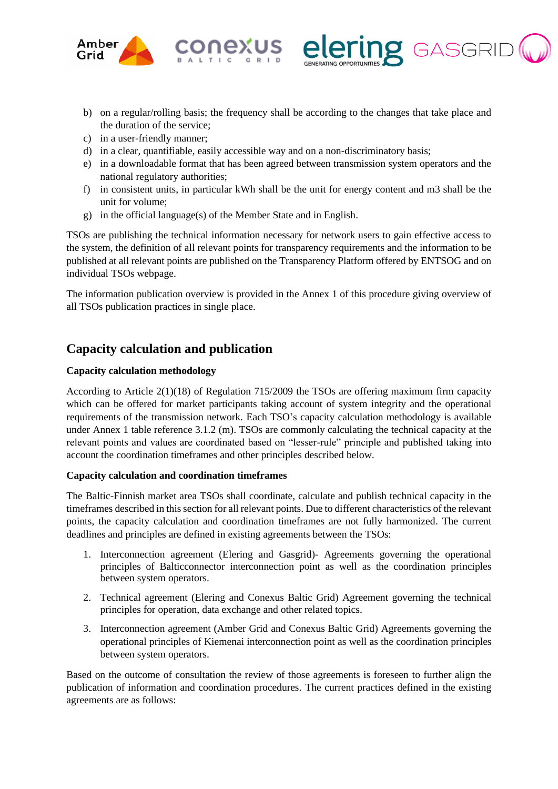

b) on a regular/rolling basis; the frequency shall be according to the changes that take place and the duration of the service;

**IZ** GASGRII

- c) in a user-friendly manner;
- d) in a clear, quantifiable, easily accessible way and on a non-discriminatory basis;

**iexus** 

- e) in a downloadable format that has been agreed between transmission system operators and the national regulatory authorities;
- f) in consistent units, in particular kWh shall be the unit for energy content and m3 shall be the unit for volume;
- g) in the official language(s) of the Member State and in English.

TSOs are publishing the technical information necessary for network users to gain effective access to the system, the definition of all relevant points for transparency requirements and the information to be published at all relevant points are published on the Transparency Platform offered by ENTSOG and on individual TSOs webpage.

The information publication overview is provided in the Annex 1 of this procedure giving overview of all TSOs publication practices in single place.

## **Capacity calculation and publication**

#### **Capacity calculation methodology**

According to Article 2(1)(18) of Regulation 715/2009 the TSOs are offering maximum firm capacity which can be offered for market participants taking account of system integrity and the operational requirements of the transmission network. Each TSO's capacity calculation methodology is available under Annex 1 table reference 3.1.2 (m). TSOs are commonly calculating the technical capacity at the relevant points and values are coordinated based on "lesser-rule" principle and published taking into account the coordination timeframes and other principles described below.

#### **Capacity calculation and coordination timeframes**

The Baltic-Finnish market area TSOs shall coordinate, calculate and publish technical capacity in the timeframes described in this section for all relevant points. Due to different characteristics of the relevant points, the capacity calculation and coordination timeframes are not fully harmonized. The current deadlines and principles are defined in existing agreements between the TSOs:

- 1. Interconnection agreement (Elering and Gasgrid)- Agreements governing the operational principles of Balticconnector interconnection point as well as the coordination principles between system operators.
- 2. Technical agreement (Elering and Conexus Baltic Grid) Agreement governing the technical principles for operation, data exchange and other related topics.
- 3. Interconnection agreement (Amber Grid and Conexus Baltic Grid) Agreements governing the operational principles of Kiemenai interconnection point as well as the coordination principles between system operators.

Based on the outcome of consultation the review of those agreements is foreseen to further align the publication of information and coordination procedures. The current practices defined in the existing agreements are as follows: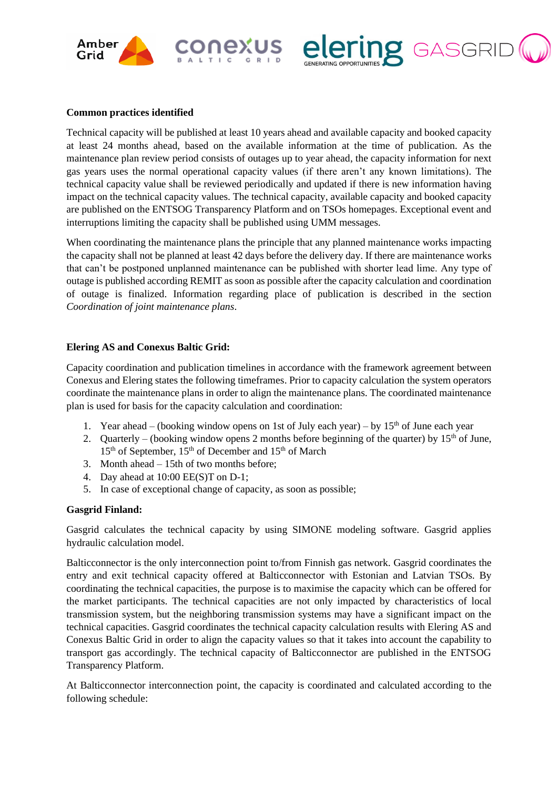



Technical capacity will be published at least 10 years ahead and available capacity and booked capacity at least 24 months ahead, based on the available information at the time of publication. As the maintenance plan review period consists of outages up to year ahead, the capacity information for next gas years uses the normal operational capacity values (if there aren't any known limitations). The technical capacity value shall be reviewed periodically and updated if there is new information having impact on the technical capacity values. The technical capacity, available capacity and booked capacity are published on the ENTSOG Transparency Platform and on TSOs homepages. Exceptional event and interruptions limiting the capacity shall be published using UMM messages.

exus

**Z** GASGRII

When coordinating the maintenance plans the principle that any planned maintenance works impacting the capacity shall not be planned at least 42 days before the delivery day. If there are maintenance works that can't be postponed unplanned maintenance can be published with shorter lead lime. Any type of outage is published according REMIT as soon as possible after the capacity calculation and coordination of outage is finalized. Information regarding place of publication is described in the section *Coordination of joint maintenance plans*.

#### **Elering AS and Conexus Baltic Grid:**

Capacity coordination and publication timelines in accordance with the framework agreement between Conexus and Elering states the following timeframes. Prior to capacity calculation the system operators coordinate the maintenance plans in order to align the maintenance plans. The coordinated maintenance plan is used for basis for the capacity calculation and coordination:

- 1. Year ahead (booking window opens on 1st of July each year) by  $15<sup>th</sup>$  of June each year
- 2. Quarterly (booking window opens 2 months before beginning of the quarter) by  $15<sup>th</sup>$  of June, 15th of September, 15th of December and 15th of March
- 3. Month ahead 15th of two months before;
- 4. Day ahead at 10:00 EE(S)T on D-1;
- 5. In case of exceptional change of capacity, as soon as possible;

#### **Gasgrid Finland:**

Gasgrid calculates the technical capacity by using SIMONE modeling software. Gasgrid applies hydraulic calculation model.

Balticconnector is the only interconnection point to/from Finnish gas network. Gasgrid coordinates the entry and exit technical capacity offered at Balticconnector with Estonian and Latvian TSOs. By coordinating the technical capacities, the purpose is to maximise the capacity which can be offered for the market participants. The technical capacities are not only impacted by characteristics of local transmission system, but the neighboring transmission systems may have a significant impact on the technical capacities. Gasgrid coordinates the technical capacity calculation results with Elering AS and Conexus Baltic Grid in order to align the capacity values so that it takes into account the capability to transport gas accordingly. The technical capacity of Balticconnector are published in the ENTSOG Transparency Platform.

At Balticconnector interconnection point, the capacity is coordinated and calculated according to the following schedule: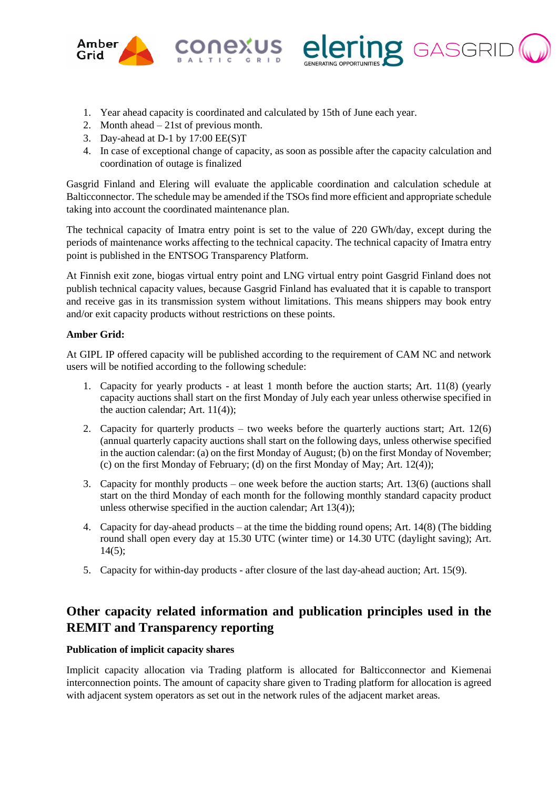



- 1. Year ahead capacity is coordinated and calculated by 15th of June each year.
- 2. Month ahead 21st of previous month.
- 3. Day-ahead at D-1 by 17:00 EE(S)T
- 4. In case of exceptional change of capacity, as soon as possible after the capacity calculation and coordination of outage is finalized

Gasgrid Finland and Elering will evaluate the applicable coordination and calculation schedule at Balticconnector. The schedule may be amended if the TSOs find more efficient and appropriate schedule taking into account the coordinated maintenance plan.

The technical capacity of Imatra entry point is set to the value of 220 GWh/day, except during the periods of maintenance works affecting to the technical capacity. The technical capacity of Imatra entry point is published in the ENTSOG Transparency Platform.

At Finnish exit zone, biogas virtual entry point and LNG virtual entry point Gasgrid Finland does not publish technical capacity values, because Gasgrid Finland has evaluated that it is capable to transport and receive gas in its transmission system without limitations. This means shippers may book entry and/or exit capacity products without restrictions on these points.

#### **Amber Grid:**

At GIPL IP offered capacity will be published according to the requirement of CAM NC and network users will be notified according to the following schedule:

- 1. Capacity for yearly products at least 1 month before the auction starts; Art. 11(8) (yearly capacity auctions shall start on the first Monday of July each year unless otherwise specified in the auction calendar; Art. 11(4));
- 2. Capacity for quarterly products two weeks before the quarterly auctions start; Art.  $12(6)$ (annual quarterly capacity auctions shall start on the following days, unless otherwise specified in the auction calendar: (a) on the first Monday of August; (b) on the first Monday of November; (c) on the first Monday of February; (d) on the first Monday of May; Art. 12(4));
- 3. Capacity for monthly products one week before the auction starts; Art. 13(6) (auctions shall start on the third Monday of each month for the following monthly standard capacity product unless otherwise specified in the auction calendar; Art 13(4));
- 4. Capacity for day-ahead products at the time the bidding round opens; Art. 14(8) (The bidding round shall open every day at 15.30 UTC (winter time) or 14.30 UTC (daylight saving); Art.  $14(5);$
- 5. Capacity for within-day products after closure of the last day-ahead auction; Art. 15(9).

## **Other capacity related information and publication principles used in the REMIT and Transparency reporting**

#### **Publication of implicit capacity shares**

Implicit capacity allocation via Trading platform is allocated for Balticconnector and Kiemenai interconnection points. The amount of capacity share given to Trading platform for allocation is agreed with adjacent system operators as set out in the network rules of the adjacent market areas.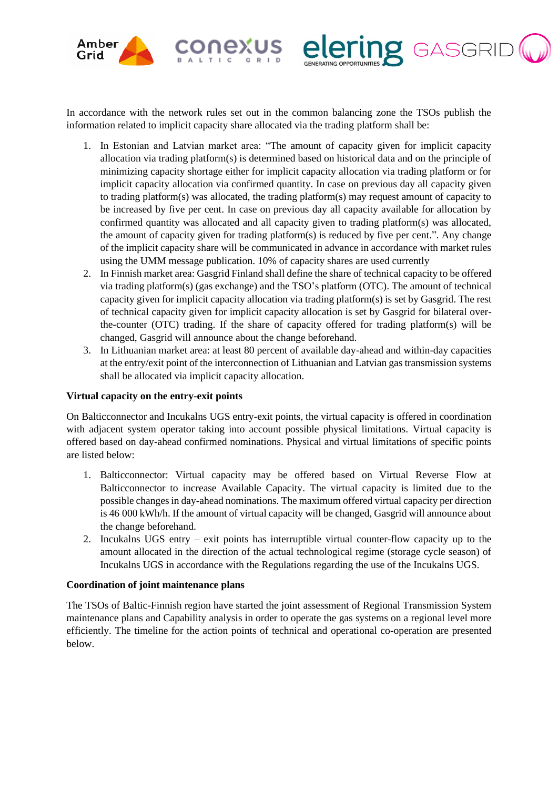

In accordance with the network rules set out in the common balancing zone the TSOs publish the information related to implicit capacity share allocated via the trading platform shall be:

**iexus** 

**IZ** GASGRII

- 1. In Estonian and Latvian market area: "The amount of capacity given for implicit capacity allocation via trading platform(s) is determined based on historical data and on the principle of minimizing capacity shortage either for implicit capacity allocation via trading platform or for implicit capacity allocation via confirmed quantity. In case on previous day all capacity given to trading platform(s) was allocated, the trading platform(s) may request amount of capacity to be increased by five per cent. In case on previous day all capacity available for allocation by confirmed quantity was allocated and all capacity given to trading platform(s) was allocated, the amount of capacity given for trading platform(s) is reduced by five per cent.". Any change of the implicit capacity share will be communicated in advance in accordance with market rules using the UMM message publication. 10% of capacity shares are used currently
- 2. In Finnish market area: Gasgrid Finland shall define the share of technical capacity to be offered via trading platform(s) (gas exchange) and the TSO's platform (OTC). The amount of technical capacity given for implicit capacity allocation via trading platform(s) is set by Gasgrid. The rest of technical capacity given for implicit capacity allocation is set by Gasgrid for bilateral overthe-counter (OTC) trading. If the share of capacity offered for trading platform(s) will be changed, Gasgrid will announce about the change beforehand.
- 3. In Lithuanian market area: at least 80 percent of available day-ahead and within-day capacities at the entry/exit point of the interconnection of Lithuanian and Latvian gas transmission systems shall be allocated via implicit capacity allocation.

#### **Virtual capacity on the entry-exit points**

On Balticconnector and Incukalns UGS entry-exit points, the virtual capacity is offered in coordination with adjacent system operator taking into account possible physical limitations. Virtual capacity is offered based on day-ahead confirmed nominations. Physical and virtual limitations of specific points are listed below:

- 1. Balticconnector: Virtual capacity may be offered based on Virtual Reverse Flow at Balticconnector to increase Available Capacity. The virtual capacity is limited due to the possible changes in day-ahead nominations. The maximum offered virtual capacity per direction is 46 000 kWh/h. If the amount of virtual capacity will be changed, Gasgrid will announce about the change beforehand.
- 2. Incukalns UGS entry exit points has interruptible virtual counter-flow capacity up to the amount allocated in the direction of the actual technological regime (storage cycle season) of Incukalns UGS in accordance with the Regulations regarding the use of the Incukalns UGS.

#### **Coordination of joint maintenance plans**

The TSOs of Baltic-Finnish region have started the joint assessment of Regional Transmission System maintenance plans and Capability analysis in order to operate the gas systems on a regional level more efficiently. The timeline for the action points of technical and operational co-operation are presented below.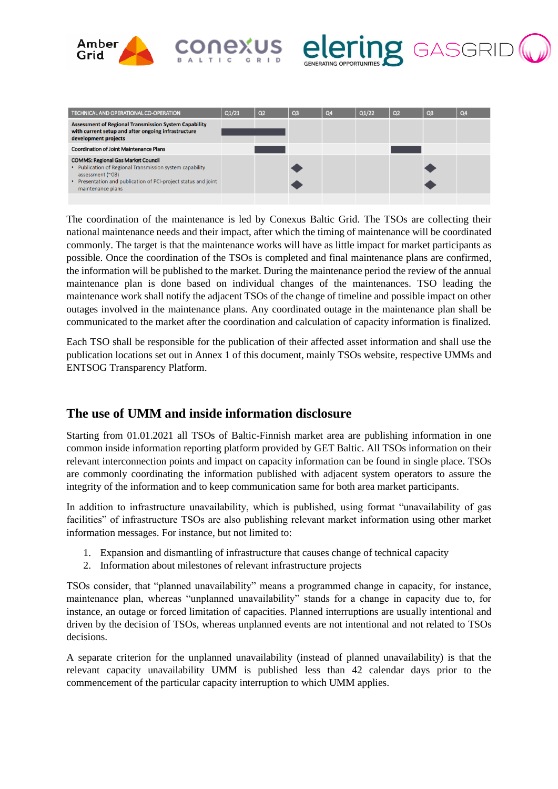



| TECHNICAL AND OPERATIONAL CO-OPERATION                                                                                                                                                                                  | Q1/21 | Q <sub>2</sub> | Q <sub>3</sub> | Q <sub>4</sub> | Q1/22 | Q <sub>2</sub> | Q <sub>3</sub> | Q4 |
|-------------------------------------------------------------------------------------------------------------------------------------------------------------------------------------------------------------------------|-------|----------------|----------------|----------------|-------|----------------|----------------|----|
| <b>Assessment of Regional Transmission System Capability</b><br>with current setup and after ongoing infrastructure<br>development projects                                                                             |       |                |                |                |       |                |                |    |
| <b>Coordination of Joint Maintenance Plans</b>                                                                                                                                                                          |       |                |                |                |       |                |                |    |
| <b>COMMS: Regional Gas Market Council</b><br>• Publication of Regional Transmission system capability<br>assessment $(^\sim 08)$<br>• Presentation and publication of PCI-project status and joint<br>maintenance plans |       |                |                |                |       |                |                |    |

US<br>"

The coordination of the maintenance is led by Conexus Baltic Grid. The TSOs are collecting their national maintenance needs and their impact, after which the timing of maintenance will be coordinated commonly. The target is that the maintenance works will have as little impact for market participants as possible. Once the coordination of the TSOs is completed and final maintenance plans are confirmed, the information will be published to the market. During the maintenance period the review of the annual maintenance plan is done based on individual changes of the maintenances. TSO leading the maintenance work shall notify the adjacent TSOs of the change of timeline and possible impact on other outages involved in the maintenance plans. Any coordinated outage in the maintenance plan shall be communicated to the market after the coordination and calculation of capacity information is finalized.

Each TSO shall be responsible for the publication of their affected asset information and shall use the publication locations set out in Annex 1 of this document, mainly TSOs website, respective UMMs and ENTSOG Transparency Platform.

### **The use of UMM and inside information disclosure**

Starting from 01.01.2021 all TSOs of Baltic-Finnish market area are publishing information in one common inside information reporting platform provided by GET Baltic. All TSOs information on their relevant interconnection points and impact on capacity information can be found in single place. TSOs are commonly coordinating the information published with adjacent system operators to assure the integrity of the information and to keep communication same for both area market participants.

In addition to infrastructure unavailability, which is published, using format "unavailability of gas facilities" of infrastructure TSOs are also publishing relevant market information using other market information messages. For instance, but not limited to:

- 1. Expansion and dismantling of infrastructure that causes change of technical capacity
- 2. Information about milestones of relevant infrastructure projects

TSOs consider, that "planned unavailability" means a programmed change in capacity, for instance, maintenance plan, whereas "unplanned unavailability" stands for a change in capacity due to, for instance, an outage or forced limitation of capacities. Planned interruptions are usually intentional and driven by the decision of TSOs, whereas unplanned events are not intentional and not related to TSOs decisions.

A separate criterion for the unplanned unavailability (instead of planned unavailability) is that the relevant capacity unavailability UMM is published less than 42 calendar days prior to the commencement of the particular capacity interruption to which UMM applies.